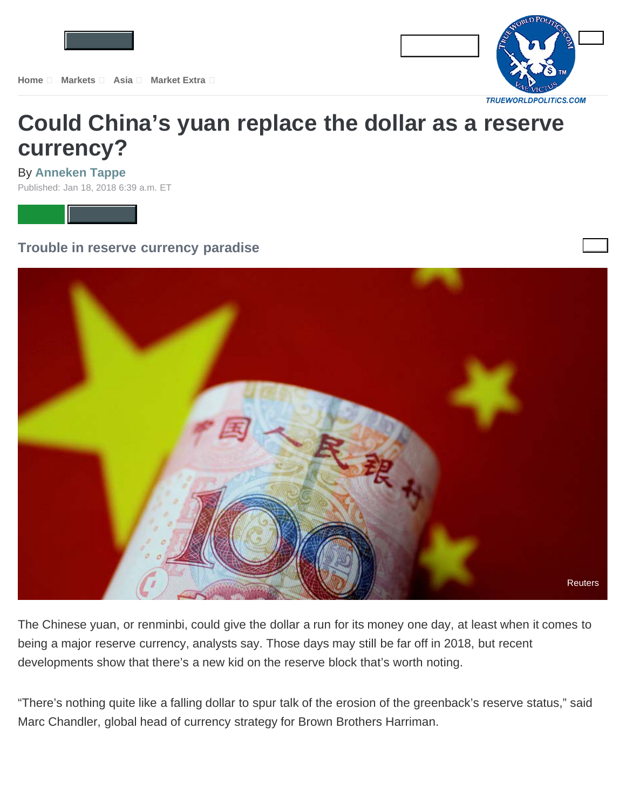

## **[Could China's yuan replace the dollar as a reserve](https://www.marketwatch.com/story/could-chinas-yuan-replace-the-dollar-as-a-reserve-currency-2018-01-17) currency?**

By **Anneken Tappe**

Published: Jan 18, 2018 6:39 a.m. ET



**Trouble in reserve currency paradise**



The Chinese yuan, or renminbi, could give the dollar a run for its money one day, at least when it comes to being a major reserve currency, analysts say. Those days may still be far off in 2018, but recent developments show that there's a new kid on the reserve block that's worth noting.

"There's nothing quite like a falling dollar to spur talk of the erosion of the greenback's reserve status," said Marc Chandler, global head of currency strategy for Brown Brothers Harriman.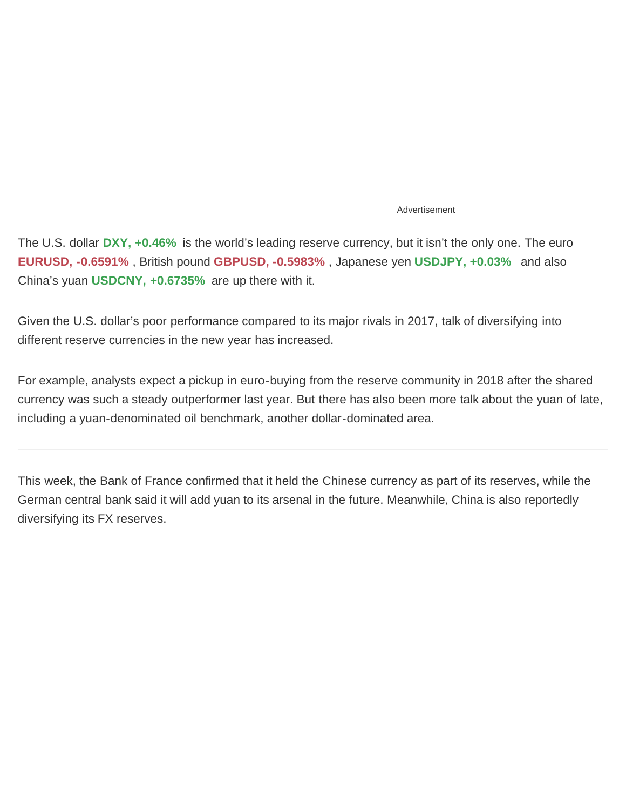## Advertisement

The U.S. dollar **[DXY, +0.46%](https://www.marketwatch.com/investing/index/dxy?mod=MW_story_quote)** is the world's leading reserve currency, but it isn't the only one. The euro **[EURUSD, -0.6591%](https://www.marketwatch.com/investing/currency/eurusd?mod=MW_story_quote)** , British pound **[GBPUSD, -0.5983%](https://www.marketwatch.com/investing/currency/gbpusd?mod=MW_story_quote)** , Japanese yen **[USDJPY, +0.03%](https://www.marketwatch.com/investing/currency/usdjpy?mod=MW_story_quote)** and also China's yuan **[USDCNY, +0.6735%](https://www.marketwatch.com/investing/currency/usdcny?mod=MW_story_quote)** are up there with it.

Given the U.S. dollar's poor performance compared to its major rivals in 2017, talk of diversifying into different reserve currencies in the new year has increased.

For example, analysts expect a pickup in euro-buying from the reserve community in 2018 after the shared currency was such a steady outperformer last year. But there has also been more talk about the yuan of late, including a yuan-denominated oil benchmark, another dollar-dominated area.

This week, the Bank of France confirmed that it held the Chinese currency as part of its reserves, while the German central bank said it will add yuan to its arsenal in the future. Meanwhile, China is also reportedly diversifying its FX reserves.